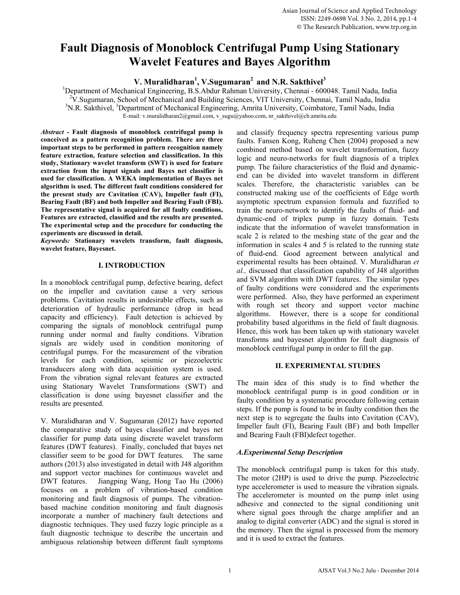# **Fault Diagnosis of Monoblock Centrifugal Pump Using Stationary Wavelet Features and Bayes Algorithm**

**V. Muralidharan<sup>1</sup>, V.Sugumaran<sup>2</sup> and N.R. Sakthivel<sup>3</sup><br>
<sup>1</sup>Department of Mechanical Engineering, B.S. Abdur Behman University, Channel, 6000** 

<sup>1</sup>Department of Mechanical Engineering, B.S.Abdur Rahman University, Chennai - 600048. Tamil Nadu, India <sup>2</sup>V. Sugumaran, School of Mechanical and Building Sciences, VIT University, Chennai, Tamil Nadu, India  $^{3}$ N B. Selthival. <sup>3</sup>Department of Mechanical Engineering, Amrita University, Coimbatora, Tamil Nadu, India N.R. Sakthivel, <sup>3</sup>Department of Mechanical Engineering, Amrita University, Coimbatore, Tamil Nadu, India E-mail: v.muralidharan2@gmail.com, v\_sugu@yahoo.com, nr\_sakthivel@cb.amrita.edu

*Abstract -* **Fault diagnosis of monoblock centrifugal pump is conceived as a pattern recognition problem. There are three important steps to be performed in pattern recognition namely feature extraction, feature selection and classification. In this study, Stationary wavelet transform (SWT) is used for feature extraction from the input signals and Bayes net classifier is used for classification. A WEKA implementation of Bayes net algorithm is used. The different fault conditions considered for the present study are Cavitation (CAV), Impeller fault (FI), Bearing Fault (BF) and both Impeller and Bearing Fault (FBI). The representative signal is acquired for all faulty conditions, Features are extracted, classified and the results are presented. The experimental setup and the procedure for conducting the experiments are discussed in detail.** 

*Keywords:* **Stationary wavelets transform, fault diagnosis, wavelet feature, Bayesnet.** 

# **I. INTRODUCTION**

In a monoblock centrifugal pump, defective bearing, defect on the impeller and cavitation cause a very serious problems. Cavitation results in undesirable effects, such as deterioration of hydraulic performance (drop in head capacity and efficiency). Fault detection is achieved by comparing the signals of monoblock centrifugal pump running under normal and faulty conditions. Vibration signals are widely used in condition monitoring of centrifugal pumps. For the measurement of the vibration levels for each condition, seismic or piezoelectric transducers along with data acquisition system is used. From the vibration signal relevant features are extracted using Stationary Wavelet Transformations (SWT) and classification is done using bayesnet classifier and the results are presented.

V. Muralidharan and V. Sugumaran (2012) have reported the comparative study of bayes classifier and bayes net classifier for pump data using discrete wavelet transform features (DWT features). Finally, concluded that bayes net classifier seem to be good for DWT features. The same authors (2013) also investigated in detail with J48 algorithm and support vector machines for continuous wavelet and DWT features. Jiangping Wang, Hong Tao Hu (2006) focuses on a problem of vibration-based condition monitoring and fault diagnosis of pumps. The vibrationbased machine condition monitoring and fault diagnosis incorporate a number of machinery fault detections and diagnostic techniques. They used fuzzy logic principle as a fault diagnostic technique to describe the uncertain and ambiguous relationship between different fault symptoms

and classify frequency spectra representing various pump faults. Fansen Kong, Ruheng Chen (2004) proposed a new combined method based on wavelet transformation, fuzzy logic and neuro-networks for fault diagnosis of a triplex pump. The failure characteristics of the fluid and dynamicend can be divided into wavelet transform in different scales. Therefore, the characteristic variables can be constructed making use of the coefficients of Edge worth asymptotic spectrum expansion formula and fuzzified to train the neuro-network to identify the faults of fluid- and dynamic-end of triplex pump in fuzzy domain. Tests indicate that the information of wavelet transformation in scale 2 is related to the meshing state of the gear and the information in scales 4 and 5 is related to the running state of fluid-end. Good agreement between analytical and experimental results has been obtained. V. Muralidharan *et al.,* discussed that classification capability of J48 algorithm and SVM algorithm with DWT features. The similar types of faulty conditions were considered and the experiments were performed. Also, they have performed an experiment with rough set theory and support vector machine algorithms. However, there is a scope for conditional probability based algorithms in the field of fault diagnosis. Hence, this work has been taken up with stationary wavelet transforms and bayesnet algorithm for fault diagnosis of monoblock centrifugal pump in order to fill the gap.

# **II. EXPERIMENTAL STUDIES**

The main idea of this study is to find whether the monoblock centrifugal pump is in good condition or in faulty condition by a systematic procedure following certain steps. If the pump is found to be in faulty condition then the next step is to segregate the faults into Cavitation (CAV), Impeller fault (FI), Bearing Fault (BF) and both Impeller and Bearing Fault (FBI)defect together.

# *A.Experimental Setup Description*

The monoblock centrifugal pump is taken for this study. The motor (2HP) is used to drive the pump. Piezoelectric type accelerometer is used to measure the vibration signals. The accelerometer is mounted on the pump inlet using adhesive and connected to the signal conditioning unit where signal goes through the charge amplifier and an analog to digital converter (ADC) and the signal is stored in the memory. Then the signal is processed from the memory and it is used to extract the features.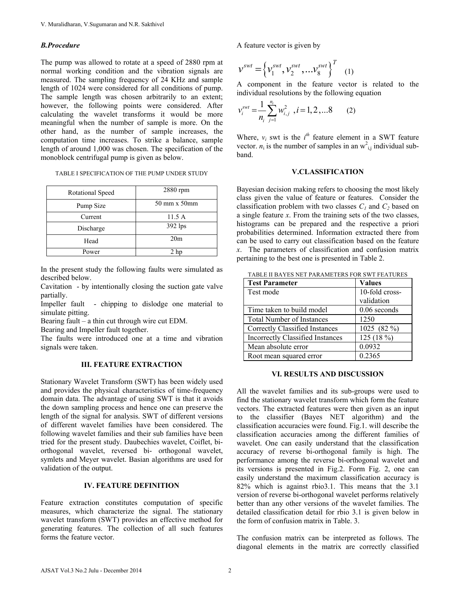## *B.Procedure*

The pump was allowed to rotate at a speed of 2880 rpm at normal working condition and the vibration signals are measured. The sampling frequency of 24 KHz and sample length of 1024 were considered for all conditions of pump. The sample length was chosen arbitrarily to an extent; however, the following points were considered. After calculating the wavelet transforms it would be more meaningful when the number of sample is more. On the other hand, as the number of sample increases, the computation time increases. To strike a balance, sample length of around 1,000 was chosen. The specification of the monoblock centrifugal pump is given as below.

| Rotational Speed | 2880 rpm        |  |  |
|------------------|-----------------|--|--|
| Pump Size        | 50 mm x 50mm    |  |  |
| Current          | 11.5A           |  |  |
| Discharge        | 392 lps         |  |  |
| Head             | 20 <sub>m</sub> |  |  |
| Power            | 2 hp            |  |  |

In the present study the following faults were simulated as described below.

Cavitation - by intentionally closing the suction gate valve partially.

Impeller fault - chipping to dislodge one material to simulate pitting.

Bearing fault – a thin cut through wire cut EDM.

Bearing and Impeller fault together.

The faults were introduced one at a time and vibration signals were taken.

## **III. FEATURE EXTRACTION**

Stationary Wavelet Transform (SWT) has been widely used and provides the physical characteristics of time-frequency domain data. The advantage of using SWT is that it avoids the down sampling process and hence one can preserve the length of the signal for analysis. SWT of different versions of different wavelet families have been considered. The following wavelet families and their sub families have been tried for the present study. Daubechies wavelet, Coiflet, biorthogonal wavelet, reversed bi- orthogonal wavelet, symlets and Meyer wavelet. Basian algorithms are used for validation of the output.

## **IV. FEATURE DEFINITION**

Feature extraction constitutes computation of specific measures, which characterize the signal. The stationary wavelet transform (SWT) provides an effective method for generating features. The collection of all such features forms the feature vector.

A feature vector is given by

$$
\mathbf{v}^{swt} = \left\{ v_1^{swt}, v_2^{swt}, \ldots v_8^{swt} \right\}^T \quad (1)
$$

A component in the feature vector is related to the individual resolutions by the following equation

$$
v_i^{swt} = \frac{1}{n_i} \sum_{j=1}^{n_i} w_{i,j}^2, i = 1, 2, \dots 8
$$
 (2)

Where,  $v_i$  swt is the  $i<sup>th</sup>$  feature element in a SWT feature vector.  $n_i$  is the number of samples in an  $w_{i,j}^2$  individual subband.

#### **V.CLASSIFICATION**

Bayesian decision making refers to choosing the most likely class given the value of feature or features. Consider the classification problem with two classes  $C_1$  and  $C_2$  based on a single feature *x*. From the training sets of the two classes, histograms can be prepared and the respective a priori probabilities determined. Information extracted there from can be used to carry out classification based on the feature *x*. The parameters of classification and confusion matrix pertaining to the best one is presented in Table 2.

| <b>Test Parameter</b>                   | <b>Values</b>  |  |
|-----------------------------------------|----------------|--|
| Test mode                               | 10-fold cross- |  |
|                                         | validation     |  |
| Time taken to build model               | $0.06$ seconds |  |
| <b>Total Number of Instances</b>        | 1250           |  |
| Correctly Classified Instances          | 1025 (82 %)    |  |
| <b>Incorrectly Classified Instances</b> | 125(18%)       |  |
| Mean absolute error                     | 0.0932         |  |
| Root mean squared error                 | 0.2365         |  |

TABLE II BAYES NET PARAMETERS FOR SWT FEATURES

#### **VI. RESULTS AND DISCUSSION**

All the wavelet families and its sub-groups were used to find the stationary wavelet transform which form the feature vectors. The extracted features were then given as an input to the classifier (Bayes NET algorithm) and the classification accuracies were found. Fig.1. will describe the classification accuracies among the different families of wavelet. One can easily understand that the classification accuracy of reverse bi-orthogonal family is high. The performance among the reverse bi-orthogonal wavelet and its versions is presented in Fig.2. Form Fig. 2, one can easily understand the maximum classification accuracy is 82% which is against rbio3.1. This means that the 3.1 version of reverse bi-orthogonal wavelet performs relatively better than any other versions of the wavelet families. The detailed classification detail for rbio 3.1 is given below in the form of confusion matrix in Table. 3.

The confusion matrix can be interpreted as follows. The diagonal elements in the matrix are correctly classified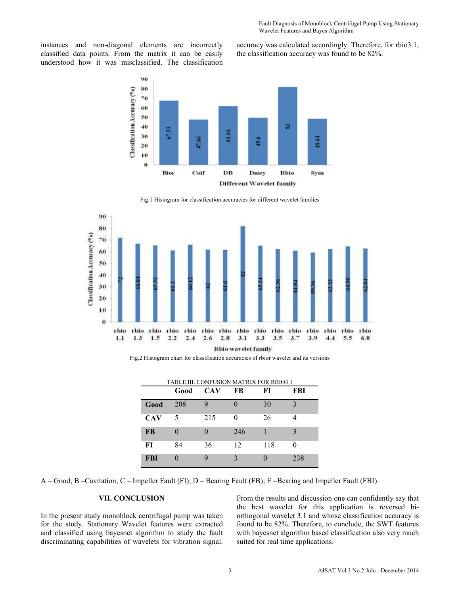instances and non-diagonal elements are incorrectly classified data points. From the matrix it can be easily understood how it was misclassified. The classification accuracy was calculated accordingly. Therefore, for rbio3.1, the classification accuracy was found to be 82%.



Fig.1 Histogram for classification accuracies for different wavelet families



Fig.2 Histogram chart for classification accuracies of rbior wavelet and its versions

| TABLE.III. CONFUSION MATRIX FOR RBIO3.1 |      |            |     |     |     |  |
|-----------------------------------------|------|------------|-----|-----|-----|--|
|                                         | Good | <b>CAV</b> | FB  | FI  | FBI |  |
| Good                                    | 208  | g          |     | 30  |     |  |
| <b>CAV</b>                              | 5    | 215        | 0   | 26  |     |  |
| <b>FB</b>                               |      |            | 246 |     |     |  |
| FI                                      | 84   | 36         | 12  | 118 |     |  |
| <b>FBI</b>                              |      | Q          |     |     | 238 |  |

A – Good; B –Cavitation; C – Impeller Fault (FI); D – Bearing Fault (FB); E –Bearing and Impeller Fault (FBI).

## **VII. CONCLUSION**

In the present study monoblock centrifugal pump was taken for the study. Stationary Wavelet features were extracted and classified using bayesnet algorithm to study the fault discriminating capabilities of wavelets for vibration signal. From the results and discussion one can confidently say that the best wavelet for this application is reversed biorthogonal wavelet 3.1 and whose classification accuracy is found to be 82%. Therefore, to conclude, the SWT features with bayesnet algorithm based classification also very much suited for real time applications.